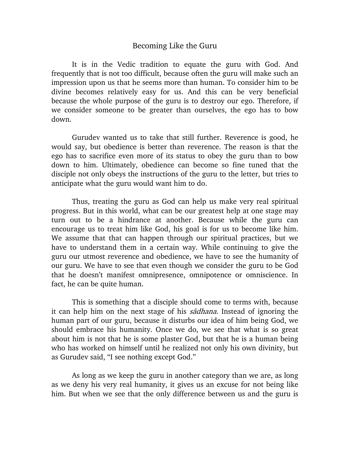## Becoming Like the Guru

It is in the Vedic tradition to equate the guru with God. And frequently that is not too difficult, because often the guru will make such an impression upon us that he seems more than human. To consider him to be divine becomes relatively easy for us. And this can be very beneficial because the whole purpose of the guru is to destroy our ego. Therefore, if we consider someone to be greater than ourselves, the ego has to bow down.

Gurudev wanted us to take that still further. Reverence is good, he would say, but obedience is better than reverence. The reason is that the ego has to sacrifice even more of its status to obey the guru than to bow down to him. Ultimately, obedience can become so fine tuned that the disciple not only obeys the instructions of the guru to the letter, but tries to anticipate what the guru would want him to do.

Thus, treating the guru as God can help us make very real spiritual progress. But in this world, what can be our greatest help at one stage may turn out to be a hindrance at another. Because while the guru can encourage us to treat him like God, his goal is for us to become like him. We assume that that can happen through our spiritual practices, but we have to understand them in a certain way. While continuing to give the guru our utmost reverence and obedience, we have to see the humanity of our guru. We have to see that even though we consider the guru to be God that he doesn't manifest omnipresence, omnipotence or omniscience. In fact, he can be quite human.

This is something that a disciple should come to terms with, because it can help him on the next stage of his sadhana. Instead of ignoring the human part of our guru, because it disturbs our idea of him being God, we should embrace his humanity. Once we do, we see that what is so great about him is not that he is some plaster God, but that he is a human being who has worked on himself until he realized not only his own divinity, but as Gurudev said, "I see nothing except God."

As long as we keep the guru in another category than we are, as long as we deny his very real humanity, it gives us an excuse for not being like him. But when we see that the only difference between us and the guru is